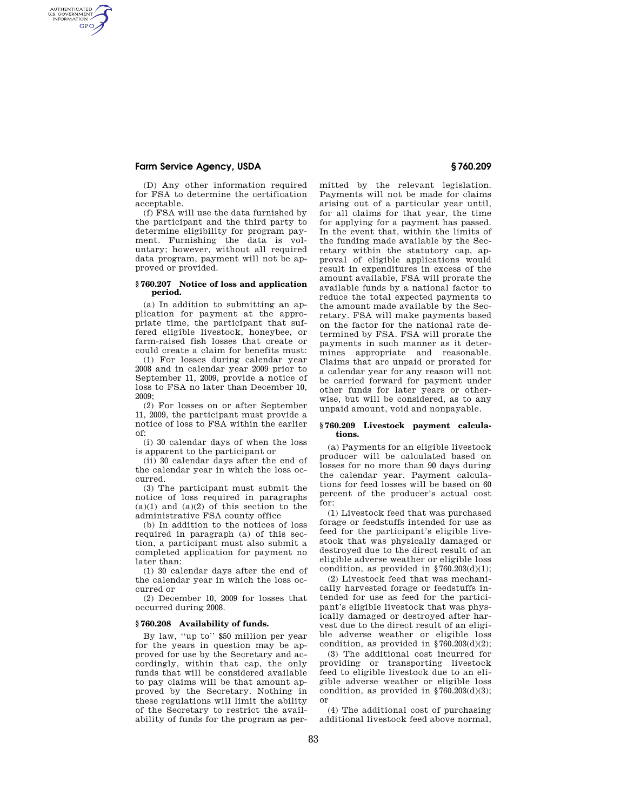# **Farm Service Agency, USDA § 760.209**

AUTHENTICATED<br>U.S. GOVERNMENT<br>INFORMATION **GPO** 

> (D) Any other information required for FSA to determine the certification acceptable.

> (f) FSA will use the data furnished by the participant and the third party to determine eligibility for program payment. Furnishing the data is voluntary; however, without all required data program, payment will not be approved or provided.

### **§ 760.207 Notice of loss and application period.**

(a) In addition to submitting an application for payment at the appropriate time, the participant that suffered eligible livestock, honeybee, or farm-raised fish losses that create or could create a claim for benefits must:

(1) For losses during calendar year 2008 and in calendar year 2009 prior to September 11, 2009, provide a notice of loss to FSA no later than December 10, 2009;

(2) For losses on or after September 11, 2009, the participant must provide a notice of loss to FSA within the earlier of:

(i) 30 calendar days of when the loss is apparent to the participant or

(ii) 30 calendar days after the end of the calendar year in which the loss occurred.

(3) The participant must submit the notice of loss required in paragraphs  $(a)(1)$  and  $(a)(2)$  of this section to the administrative FSA county office

(b) In addition to the notices of loss required in paragraph (a) of this section, a participant must also submit a completed application for payment no later than:

(1) 30 calendar days after the end of the calendar year in which the loss occurred or

(2) December 10, 2009 for losses that occurred during 2008.

## **§ 760.208 Availability of funds.**

By law, ''up to'' \$50 million per year for the years in question may be approved for use by the Secretary and accordingly, within that cap, the only funds that will be considered available to pay claims will be that amount approved by the Secretary. Nothing in these regulations will limit the ability of the Secretary to restrict the availability of funds for the program as permitted by the relevant legislation. Payments will not be made for claims arising out of a particular year until, for all claims for that year, the time for applying for a payment has passed. In the event that, within the limits of the funding made available by the Secretary within the statutory cap, approval of eligible applications would result in expenditures in excess of the amount available, FSA will prorate the available funds by a national factor to reduce the total expected payments to the amount made available by the Secretary. FSA will make payments based on the factor for the national rate determined by FSA. FSA will prorate the payments in such manner as it determines appropriate and reasonable. Claims that are unpaid or prorated for a calendar year for any reason will not be carried forward for payment under other funds for later years or otherwise, but will be considered, as to any unpaid amount, void and nonpayable.

### **§ 760.209 Livestock payment calculations.**

(a) Payments for an eligible livestock producer will be calculated based on losses for no more than 90 days during the calendar year. Payment calculations for feed losses will be based on 60 percent of the producer's actual cost for:

(1) Livestock feed that was purchased forage or feedstuffs intended for use as feed for the participant's eligible livestock that was physically damaged or destroyed due to the direct result of an eligible adverse weather or eligible loss condition, as provided in  $$760.203(d)(1);$ 

(2) Livestock feed that was mechanically harvested forage or feedstuffs intended for use as feed for the participant's eligible livestock that was physically damaged or destroyed after harvest due to the direct result of an eligible adverse weather or eligible loss condition, as provided in  $$760.203(d)(2);$ 

(3) The additional cost incurred for providing or transporting livestock feed to eligible livestock due to an eligible adverse weather or eligible loss condition, as provided in  $$760.203(d)(3);$ or

(4) The additional cost of purchasing additional livestock feed above normal,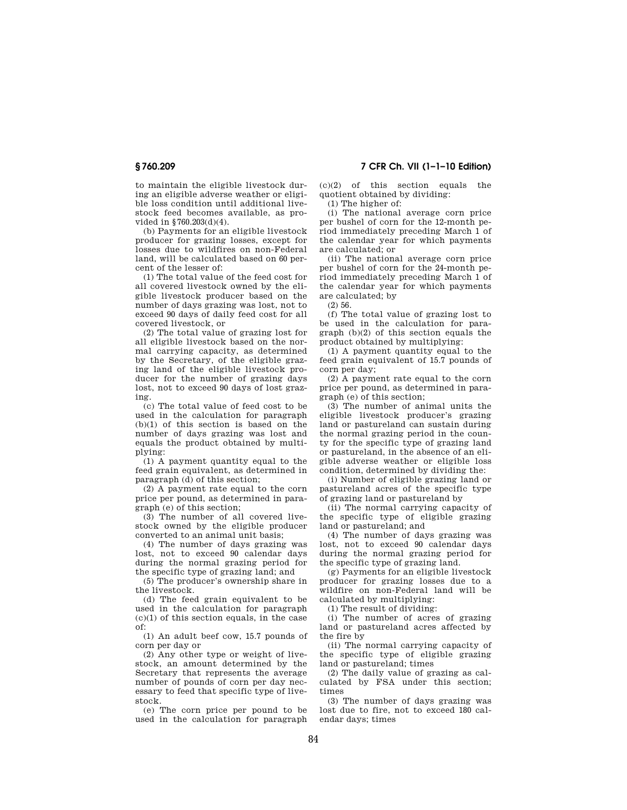to maintain the eligible livestock during an eligible adverse weather or eligible loss condition until additional livestock feed becomes available, as provided in §760.203(d)(4).

(b) Payments for an eligible livestock producer for grazing losses, except for losses due to wildfires on non-Federal land, will be calculated based on 60 percent of the lesser of:

(1) The total value of the feed cost for all covered livestock owned by the eligible livestock producer based on the number of days grazing was lost, not to exceed 90 days of daily feed cost for all covered livestock, or

(2) The total value of grazing lost for all eligible livestock based on the normal carrying capacity, as determined by the Secretary, of the eligible grazing land of the eligible livestock producer for the number of grazing days lost, not to exceed 90 days of lost grazing.

(c) The total value of feed cost to be used in the calculation for paragraph (b)(1) of this section is based on the number of days grazing was lost and equals the product obtained by multiplying:

(1) A payment quantity equal to the feed grain equivalent, as determined in paragraph (d) of this section;

(2) A payment rate equal to the corn price per pound, as determined in paragraph (e) of this section;

(3) The number of all covered livestock owned by the eligible producer converted to an animal unit basis;

(4) The number of days grazing was lost, not to exceed 90 calendar days during the normal grazing period for the specific type of grazing land; and

(5) The producer's ownership share in the livestock.

(d) The feed grain equivalent to be used in the calculation for paragraph  $(c)(1)$  of this section equals, in the case of:

(1) An adult beef cow, 15.7 pounds of corn per day or

(2) Any other type or weight of livestock, an amount determined by the Secretary that represents the average number of pounds of corn per day necessary to feed that specific type of livestock.

(e) The corn price per pound to be used in the calculation for paragraph

**§ 760.209 7 CFR Ch. VII (1–1–10 Edition)** 

(c)(2) of this section equals the quotient obtained by dividing:

(1) The higher of:

(i) The national average corn price per bushel of corn for the 12-month period immediately preceding March 1 of the calendar year for which payments are calculated; or

(ii) The national average corn price per bushel of corn for the 24-month period immediately preceding March 1 of the calendar year for which payments are calculated; by

(2) 56.

(f) The total value of grazing lost to be used in the calculation for paragraph (b)(2) of this section equals the product obtained by multiplying:

(1) A payment quantity equal to the feed grain equivalent of 15.7 pounds of corn per day;

(2) A payment rate equal to the corn price per pound, as determined in paragraph (e) of this section;

(3) The number of animal units the eligible livestock producer's grazing land or pastureland can sustain during the normal grazing period in the county for the specific type of grazing land or pastureland, in the absence of an eligible adverse weather or eligible loss condition, determined by dividing the:

(i) Number of eligible grazing land or pastureland acres of the specific type of grazing land or pastureland by

(ii) The normal carrying capacity of the specific type of eligible grazing land or pastureland; and

(4) The number of days grazing was lost, not to exceed 90 calendar days during the normal grazing period for the specific type of grazing land.

(g) Payments for an eligible livestock producer for grazing losses due to a wildfire on non-Federal land will be calculated by multiplying:

(1) The result of dividing:

(i) The number of acres of grazing land or pastureland acres affected by the fire by

(ii) The normal carrying capacity of the specific type of eligible grazing land or pastureland; times

(2) The daily value of grazing as calculated by FSA under this section; times

(3) The number of days grazing was lost due to fire, not to exceed 180 calendar days; times